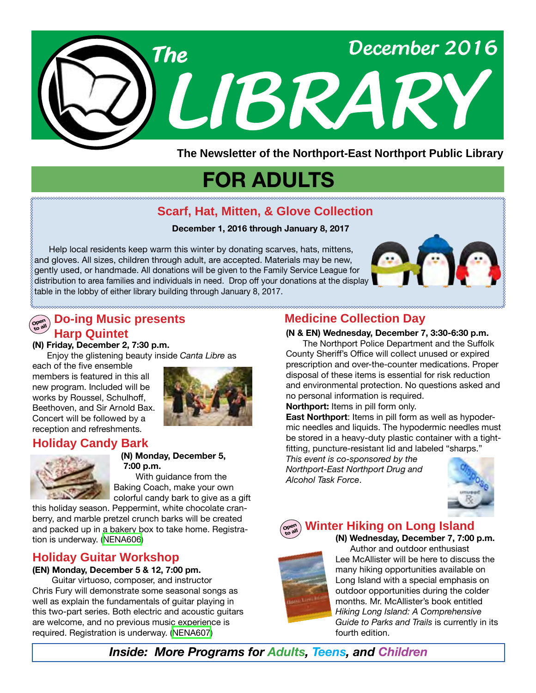

**The Newsletter of the Northport-East Northport Public Library**

# **FOR ADULTS**

## **Scarf, Hat, Mitten, & Glove Collection**

#### **December 1, 2016 through January 8, 2017**

 Help local residents keep warm this winter by donating scarves, hats, mittens, and gloves. All sizes, children through adult, are accepted. Materials may be new, gently used, or handmade. All donations will be given to the Family Service League for distribution to area families and individuals in need. Drop off your donations at the display table in the lobby of either library building through January 8, 2017.



#### **Ope<sup>n</sup> Do-ing Music presents Harp Quintet**

**(N) Friday, December 2, 7:30 p.m.**

Enjoy the glistening beauty inside *Canta Libre* as

each of the five ensemble members is featured in this all new program. Included will be works by Roussel, Schulhoff, Beethoven, and Sir Arnold Bax. Concert will be followed by a reception and refreshments.



## **Holiday Candy Bark**



 **(N) Monday, December 5, 7:00 p.m.** With guidance from the Baking Coach, make your own

colorful candy bark to give as a gift this holiday season. Peppermint, white chocolate cran-

berry, and marble pretzel crunch barks will be created and packed up in a bakery box to take home. Registration is underway. ([NENA606](http://alpha1.suffolk.lib.ny.us/record%3Dg1067466~S43))

## **Holiday Guitar Workshop**

#### **(EN) Monday, December 5 & 12, 7:00 pm.**

 Guitar virtuoso, composer, and instructor Chris Fury will demonstrate some seasonal songs as well as explain the fundamentals of guitar playing in this two-part series. Both electric and acoustic guitars are welcome, and no previous music experience is required. Registration is underway. ([NENA607\)](http://alpha1.suffolk.lib.ny.us/record%3Dg1067561~S43)

# **Medicine Collection Day**

**(N & EN) Wednesday, December 7, 3:30-6:30 p.m.**

 The Northport Police Department and the Suffolk County Sheriff's Office will collect unused or expired prescription and over-the-counter medications. Proper disposal of these items is essential for risk reduction and environmental protection. No questions asked and no personal information is required.

**Northport:** Items in pill form only.

**East Northport**: Items in pill form as well as hypodermic needles and liquids. The hypodermic needles must be stored in a heavy-duty plastic container with a tightfitting, puncture-resistant lid and labeled "sharps."

*This event is co-sponsored by the Northport-East Northport Drug and Alcohol Task Force*.



#### **Ope<sup>n</sup> Winter Hiking on Long Island**



**(N) Wednesday, December 7, 7:00 p.m.** Author and outdoor enthusiast Lee McAllister will be here to discuss the many hiking opportunities available on Long Island with a special emphasis on outdoor opportunities during the colder months. Mr. McAllister's book entitled *Hiking Long Island: A Comprehensive Guide to Parks and Trails* is currently in its fourth edition.

*Inside: More Programs for Adults, Teens, and Children*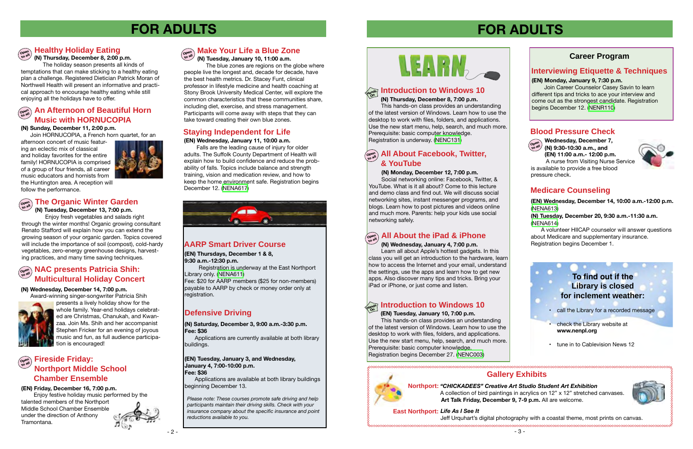**Wednesday, December 7, (N) 9:30-10:30 a.m., and (EN) 11:00 a.m.- 12:00 p.m.** A nurse from Visiting Nurse Service



is available to provide a free blood

#### pressure check. **(N) Monday, December 12, 7:00 p.m.**

 Social networking online: Facebook, Twitter, & YouTube. What is it all about? Come to this lecture and demo class and find out. We will discuss social networking sites, instant messenger programs, and blogs. Learn how to post pictures and videos online and much more. Parents: help your kids use social networking safely.

**(N) Thursday, December 8, 7:00 p.m.**

**Northport:** *"CHICKADEES" Creative Art Studio Student Art Exhibition*  **Art Talk Friday, December 9, 7-9 p.m.** All are welcome. A collection of bird paintings in acrylics on 12" x 12" stretched canvases

 This hands-on class provides an understanding of the latest version of Windows. Learn how to use the desktop to work with files, folders, and applications. Use the new start menu, help, search, and much more. Prerequisite: basic computer knowledge. Registration is underway. ([NENC131](http://alpha1.suffolk.lib.ny.us/record%3Dg1040832~S43))

# **FOR ADULTS**

#### **Career Program**

# **FOR ADULTS**

**(EN) Wednesday, December 14, 10:00 a.m.-12:00 p.m.** [\(NENA613\)](http://alpha1.suffolk.lib.ny.us/record%3Dg1068357~S43)

**(N) Tuesday, December 20, 9:30 a.m.-11:30 a.m.**  [\(NENA614\)](http://alpha1.suffolk.lib.ny.us/record%3Dg1068403~S43)

A volunteer HIICAP counselor will answer questions about Medicare and supplementary insurance. Registration begins December 1.

#### **Hands On Introduction to Windows 10**

# **Ope<sup>n</sup> to all All About Facebook, Twitter, & YouTube**

# **Gallery Exhibits**



**Ope<sup>n</sup> to all**

#### **(N) Wednesday, January 4, 7:00 p.m.**

# **Ope<sup>n</sup> to all All About the iPad & iPhone**

#### **Ope<sup>n</sup> to all An Afternoon of Beautiful Horn Music with HORNUCOPIA**

#### **Fireside Friday: Northport Middle School Chamber Ensemble Ope<sup>n</sup> to all**

 Learn all about Apple's hottest gadgets. In this class you will get an introduction to the hardware, learn how to access the Internet and your email, understand the settings, use the apps and learn how to get new apps. Also discover many tips and tricks. Bring your iPad or iPhone, or just come and listen.

#### **Ope<sup>n</sup> to all**

# **Defensive Driving**

# $\sum_{\text{open}}$  NAC presents Patricia Shih: **Multicultural Holiday Concert**

*Please note: These courses promote safe driving and help participants maintain their driving skills. Check with your insurance company about the specific insurance and point reductions available to you.*



**(N) Saturday, December 3, 9:00 a.m.-3:30 p.m. Fee: \$36**

**East Northport:** *Life As I See It*

Applications are currently available at both library buildings.

## **AARP Smart Driver Course**

**(EN) Thursdays, December 1 & 8, 9:30 a.m.-12:30 p.m.** 

Registration is underway at the East Northport Library only. [\(NENA611](http://alpha1.suffolk.lib.ny.us/record%3Dg1067639~S43))

Fee: \$20 for AARP members (\$25 for non-members) payable to AARP by check or money order only at registration.

#### **(EN) Tuesday, January 10, 7:00 p.m.**

**Healthy Holiday Eating (N) Thursday, December 8, 2:00 p.m.**

> This hands-on class provides an understanding of the latest version of Windows. Learn how to use the desktop to work with files, folders, and applications. Use the new start menu, help, search, and much more. Prerequisite: basic computer knowledge. Registration begins December 27. [\(NENC003\)](http://alpha1.suffolk.lib.ny.us/record%3Dg1061941~S43)



# **Hands On Introduction to Windows 10**

Join Career Counselor Casey Savin to learn different tips and tricks to ace your interview and come out as the strongest candidate. Registration begins December 12. ([NENR110](http://alpha1.suffolk.lib.ny.us/record%3Dg1068617~S43))

#### **(EN) Monday, January 9, 7:30 p.m. Interviewing Etiquette & Techniques**

**(EN) Tuesday, January 3, and Wednesday, January 4, 7:00-10:00 p.m. Fee: \$36**

Applications are available at both library buildings beginning December 13.

# **Medicare Counseling**

## **Blood Pressure Check**

 The holiday season presents all kinds of temptations that can make sticking to a healthy eating plan a challenge. Registered Dietician Patrick Moran of Northwell Health will present an informative and practical approach to encourage healthy eating while still enjoying all the holidays have to offer.

#### **(N) Sunday, December 11, 2:00 p.m.**

Join HORNUCOPIA, a French horn quartet, for an

**Ope<sup>n</sup> to all Make Your Life a Blue Zone** 

afternoon concert of music featuring an eclectic mix of classical and holiday favorites for the entire family! HORNUCOPIA is comprised of a group of four friends, all career music educators and hornists from the Huntington area. A reception will follow the performance.



# $\begin{bmatrix} \cos\theta \\ \cos\theta \end{bmatrix}$  The Organic Winter Garden

#### **(N) Tuesday, December 13, 7:00 p.m.**

 Enjoy fresh vegetables and salads right through the winter months! Organic growing consultant Renato Stafford will explain how you can extend the growing season of your organic garden. Topics covered will include the importance of soil (compost), cold-hardy vegetables, zero-energy greenhouse designs, harvesting practices, and many time saving techniques.

#### **(N) Wednesday, December 14, 7:00 p.m.**



 Award-winning singer-songwriter Patricia Shih presents a lively holiday show for the whole family. Year-end holidays celebrated are Christmas, Chanukah, and Kwanzaa. Join Ms. Shih and her accompanist Stephen Fricker for an evening of joyous music and fun, as full audience participation is encouraged!

#### **(EN) Friday, December 16, 7:00 p.m.**

 Enjoy festive holiday music performed by the talented members of the Northport Middle School Chamber Ensemble under the direction of Anthony



Tramontana.

## **Staying Independent for Life**

#### **(EN) Wednesday, January 11, 10:00 a.m.**

 Falls are the leading cause of injury for older adults. The Suffolk County Department of Health will explain how to build confidence and reduce the probability of falls. Topics include balance and strength training, vision and medication review, and how to keep the home environment safe. Registration begins December 12. [\(NENA617](http://alpha1.suffolk.lib.ny.us/record%3Dg1068346~S43))



**(N) Tuesday, January 10, 11:00 a.m.**

 The blue zones are regions on the globe where people live the longest and, decade for decade, have the best health metrics. Dr. Stacey Funt, clinical professor in lifestyle medicine and health coaching at Stony Brook University Medical Center, will explore the common characteristics that these communities share, including diet, exercise, and stress management. Participants will come away with steps that they can take toward creating their own blue zones.

# **To find out if the Library is closed for inclement weather:**

- call the Library for a recorded message
- check the Library website at **www.nenpl.org**
- tune in to Cablevision News 12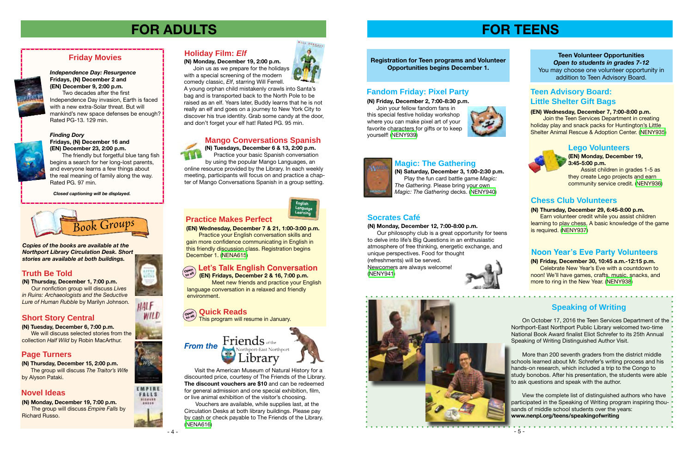- 5 -



**(N) Saturday, December 3, 1:00-2:30 p.m.** Play the fun card battle game *Magic: The Gathering.* Please bring your own *Magic: The Gathering* decks. ([NENY940\)](http://alpha1.suffolk.lib.ny.us/record%3Dg1068101~S43)

**Registration for Teen programs and Volunteer** 

# **Opportunities begins December 1.**

## **Speaking of Writing**



**(EN) Monday, December 19, 3:45-5:00 p.m.**

 Assist children in grades 1-5 as they create Lego projects and earn community service credit. ([NENY936\)](http://alpha1.suffolk.lib.ny.us/record%3Dg1068133~S43)

#### **(N) Thursday, December 29, 6:45-8:00 p.m.**

 Earn volunteer credit while you assist children learning to play chess. A basic knowledge of the game is required. [\(NENY937](http://alpha1.suffolk.lib.ny.us/record%3Dg1068146~S43))

# **FOR ADULTS**

**(N) Monday, December 19, 7:00 p.m.** The group will discuss *Empire Falls* by Richard Russo.



**(EN) Wednesday, December 7 & 21, 1:00-3:00 p.m.**

 Practice your English conversation skills and gain more confidence communicating in English in this friendly discussion class. Registration begins December 1. ([NENA615\)](http://alpha1.suffolk.lib.ny.us/record%3Dg1068415~S43)

**Join the Teen Services Department in creating** holiday play and snack packs for Huntington's Little Shelter Animal Rescue & Adoption Center. ([NENY935\)](http://alpha1.suffolk.lib.ny.us/record%3Dg1068125~S43)

#### **Quick Reads Ope<sup>n</sup>**

 **(EN) Fridays, December 2 & 16, 7:00 p.m.** Meet new friends and practice your English language conversation in a relaxed and friendly environment.

This program will resume in January. **to all**

#### **Friends** of the *From the* Northport-East Northport 1brary



HALF WILD

EMPIRE FALLS NICHER 19555

#### *Finding Dory*



#### **Fridays, (N) December 16 and (EN) December 23, 2:00 p.m.**

#### **Let's Talk English Conversation Ope<sup>n</sup> to all**

 The friendly but forgetful blue tang fish begins a search for her long-lost parents, and everyone learns a few things about the real meaning of family along the way. Rated PG. 97 min.

# **Friday Movies**



**(N) Friday, December 2, 7:00-8:30 p.m.**

 Join your fellow fandom fans in this special festive holiday workshop where you can make pixel art of your favorite characters for gifts or to keep yourself! ([NENY939](http://alpha1.suffolk.lib.ny.us/record%3Dg1068100~S43))





#### **(EN) Wednesday, December 7, 7:00-8:00 p.m.**

# **Magic: The Gathering**

### **Fandom Friday: Pixel Party**

## **Socrates Café**

#### **(N) Monday, December 12, 7:00-8:00 p.m.**

 Our philosophy club is a great opportunity for teens to delve into life's Big Questions in an enthusiastic atmosphere of free thinking, energetic exchange, and unique perspectives. Food for thought (refreshments) will be served. Newcomers are always welcome! ([NENY941\)](http://alpha1.suffolk.lib.ny.us/record%3Dg1068103~S43)



**Teen Volunteer Opportunities** *Open to students in grades 7-12* You may choose one volunteer opportunity in addition to Teen Advisory Board.

# **Teen Advisory Board: Little Shelter Gift Bags**

#### **Chess Club Volunteers**

**(N) Tuesdays, December 6 & 13, 2:00 p.m.**  Practice your basic Spanish conversation

by using the popular Mango Languages, an online resource provided by the Library. In each weekly meeting, participants will focus on and practice a chapter of Mango Conversations Spanish in a group setting.

# **Mango Conversations Spanish**



#### **Truth Be Told**

#### **Page Turners**

#### **Novel Ideas**

## **Short Story Central**

**(N) Tuesday, December 6, 7:00 p.m.** We will discuss selected stories from the collection *Half Wild* by Robin MacArthur.

**(N) Thursday, December 15, 2:00 p.m.** The group will discuss *The Traitor's Wife*  by Alyson Pataki.

*Independence Day: Resurgence* **Fridays, (N) December 2 and (EN) December 9, 2:00 p.m.**  Two decades after the first

Independence Day invasion, Earth is faced with a new extra-Solar threat. But will mankind's new space defenses be enough? Rated PG-13. 129 min.

*Closed captioning will be displayed.*

#### **Noon Year's Eve Party Volunteers**

**(N) Friday, December 30, 10:45 a.m.-12:15 p.m.**  Celebrate New Year's Eve with a countdown to noon! We'll have games, crafts, music, snacks, and more to ring in the New Year. [\(NENY938](http://alpha1.suffolk.lib.ny.us/record%3Dg1068186~S43))

#### **Practice Makes Perfect**



*Copies of the books are available at the Northport Library Circulation Desk. Short stories are available at both buildings.*

**(N) Thursday, December 1, 7:00 p.m.** Our nonfiction group will discuss *Lives in Ruins: Archaeologists and the Seductive Lure of Human Rubble* by Marilyn Johnson.

> On October 17, 2016 the Teen Services Department of the Northport-East Northport Public Library welcomed two-time National Book Award finalist Eliot Schrefer to its 25th Annual Speaking of Writing Distinguished Author Visit.

 More than 200 seventh graders from the district middle schools learned about Mr. Schrefer's writing process and his hands-on research, which included a trip to the Congo to study bonobos. After his presentation, the students were able to ask questions and speak with the author.

 View the complete list of distinguished authors who have participated in the Speaking of Writing program inspiring thousands of middle school students over the years: **www.nenpl.org/teens/speakingofwriting**

 $\mathbf{A} = \mathbf{A} \mathbf{A} + \mathbf{A} \mathbf{A} + \mathbf{A} \mathbf{A} + \mathbf{A} \mathbf{A} + \mathbf{A} \mathbf{A} + \mathbf{A} \mathbf{A} + \mathbf{A} \mathbf{A} + \mathbf{A} \mathbf{A} + \mathbf{A} \mathbf{A} + \mathbf{A} \mathbf{A} + \mathbf{A} \mathbf{A} + \mathbf{A} \mathbf{A} + \mathbf{A} \mathbf{A} + \mathbf{A} \mathbf{A} + \mathbf{A} \mathbf{A} + \mathbf{A} \mathbf{A} + \mathbf{A$ 

Visit the American Museum of Natural History for a discounted price, courtesy of The Friends of the Library. **The discount vouchers are \$10** and can be redeemed for general admission and one special exhibition, film, or live animal exhibition of the visitor's choosing.

 Vouchers are available, while supplies last, at the Circulation Desks at both library buildings. Please pay by cash or check payable to The Friends of the Library. [\(NENA616](http://alpha1.suffolk.lib.ny.us/record%3Dg1068513~S43))



**(N) Monday, December 19, 2:00 p.m.**

 Join us as we prepare for the holidays with a special screening of the modern comedy classic, *Elf*, starring Will Ferrell.

A young orphan child mistakenly crawls into Santa's bag and is transported back to the North Pole to be raised as an elf. Years later, Buddy learns that he is not really an elf and goes on a journey to New York City to discover his true identity. Grab some candy at the door, and don't forget your elf hat! Rated PG. 95 min.

#### **Holiday Film:** *Elf*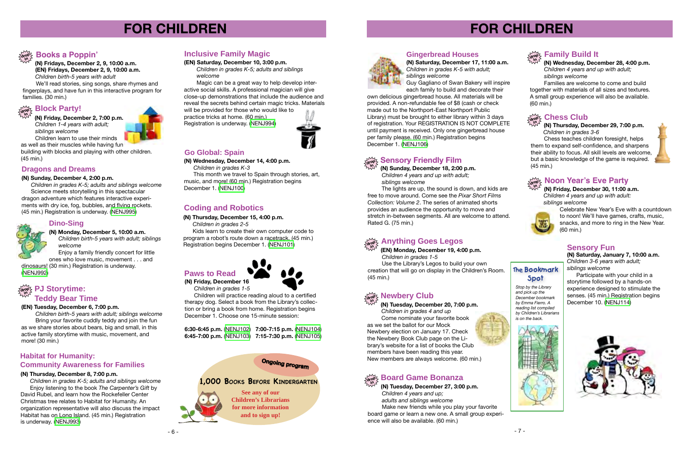

# **FOR CHILDREN**

#### **(EN) Tuesday, December 6, 7:00 p.m.**

 *Children birth-5 years with adult; siblings welcome* Bring your favorite cuddly teddy and join the fun as we share stories about bears, big and small, in this active family storytime with music, movement, and more! (30 min.)

# **FOR CHILDREN**



**(N) Fridays, December 2, 9, 10:00 a.m. (EN) Fridays, December 2, 9, 10:00 a.m.**  *Children birth-5 years with adult*

 We'll read stories, sing songs, share rhymes and fingerplays, and have fun in this interactive program for families. (30 min.)

# **Block Party!**

**(N) Tuesday, December 20, 7:00 p.m.**

# **drop in Anything Goes Legos**

 *Children in grades 4 and up* Come nominate your favorite book as we set the ballot for our Mock Newbery election on January 17. Check the Newbery Book Club page on the Library's website for a list of books the Club members have been reading this year. New members are always welcome. (60 min.)



#### **drop in Board Game Bonanza**

**(EN) Monday, December 19, 4:00 p.m.**  *Children in grades 1-5* Use the Library's Legos to build your own creation that will go on display in the Children's Room. (45 min.)

# **Newbery Club**

#### **Gingerbread Houses**



## **PJ Storytime: drop in Teddy Bear Time**





**(N) Saturday, December 17, 11:00 a.m.** *Children in grades K-5 with adult; siblings welcome*

 Guy Gagliano of Swan Bakery will inspire each family to build and decorate their

This month we travel to Spain through stories, art, music, and more! (60 min.) Registration begins December 1. ([NENJ100](http://alpha1.suffolk.lib.ny.us/record%3Dg1066971~S43))

#### **drop in Sensory Friendly Film**

own delicious gingerbread house. All materials will be provided. A non-refundable fee of \$8 (cash or check made out to the Northport-East Northport Public Library) must be brought to either library within 3 days of registration. Your REGISTRATION IS NOT COMPLETE until payment is received. Only one gingerbread house per family please. (60 min.) Registration begins December 1. [\(NENJ106\)](http://alpha1.suffolk.lib.ny.us/record%3Dg1067980~S43)

Enjoy a family friendly concert for little ones who love music, movement . . . and

**(N) Sunday, December 18, 2:00 p.m.** *Children 4 years and up with adult; siblings welcome*

# **drop in Books a Poppin'**

 The lights are up, the sound is down, and kids are free to move around. Come see the *Pixar Short Films Collection: Volume 2*. The series of animated shorts provides an audience the opportunity to move and stretch in-between segments. All are welcome to attend. Rated G. (75 min.)

**(N) Friday, December 16**  *Children in grades 1-5*

 Children will practice reading aloud to a certified therapy dog. Select a book from the Library's collection or bring a book from home. Registration begins December 1. Choose one 15-minute session:

#### **6:30-6:45 p.m.** [\(NENJ102](http://alpha1.suffolk.lib.ny.us/record%3Dg1065885~S43)) **7:00-7:15 p.m.** [\(NENJ104\)](http://alpha1.suffolk.lib.ny.us/record%3Dg1065887~S43) **6:45-7:00 p.m.** [\(NENJ103](http://alpha1.suffolk.lib.ny.us/record%3Dg1065886~S43)) **7:15-7:30 p.m.** [\(NENJ105\)](http://alpha1.suffolk.lib.ny.us/record%3Dg1065888~S43)

#### **Go Global: Spain**

**(N) Wednesday, December 14, 4:00 p.m.**

 *Children in grades K-3*

#### **(EN) Saturday, December 10, 3:00 p.m.**

*Children in grades K-5; adults and siblings welcome* 

 Magic can be a great way to help develop interactive social skills. A professional magician will give close-up demonstrations that include the audience and reveal the secrets behind certain magic tricks. Materials will be provided for those who would like to

practice tricks at home. (60 min.) Registration is underway. ([NENJ994](http://alpha1.suffolk.lib.ny.us/record%3Dg1067681~S43))

#### **Dino-Sing**

**See any of our Children's Librarians for more information and to sign up!**

# **1,000 Books Before Kindergarten**

# **Ongoing program**

#### **(N) Thursday, December 15, 4:00 p.m.**

*Children in grades 2-5*

 Kids learn to create their own computer code to program a robot's route down a racetrack. (45 min.) Registration begins December 1. ([NENJ101](http://alpha1.suffolk.lib.ny.us/record%3Dg1067355~S43))

# **Coding and Robotics**

**(N) Monday, December 5, 10:00 a.m.** *Children birth-5 years with adult; siblings welcome*

dinosaurs! (30 min.) Registration is underway. ([NENJ992\)](http://alpha1.suffolk.lib.ny.us/record%3Dg1065880~S43)

#### **Habitat for Humanity: Community Awareness for Families**

#### **(N) Thursday, December 8, 7:00 p.m.**

*Children in grades K-5; adults and siblings welcome* Enjoy listening to the book *The Carpenter's Gift* by David Rubel, and learn how the Rockefeller Center Christmas tree relates to Habitat for Humanity. An organization representative will also discuss the impact Habitat has on Long Island. (45 min.) Registration is underway. ([NENJ993](http://alpha1.suffolk.lib.ny.us/record%3Dg1067143~S43))

## **Inclusive Family Magic**

#### **Dragons and Dreams**

#### **(N) Sunday, December 4, 2:00 p.m.**

 *Children in grades K-5; adults and siblings welcome* Science meets storytelling in this spectacular dragon adventure which features interactive experiments with dry ice, fog, bubbles, and flying rockets. (45 min.) Registration is underway. ([NENJ995\)](http://alpha1.suffolk.lib.ny.us/record%3Dg1067585~S43)

**(N) Friday, December 2, 7:00 p.m.**  *Children 1-4 years with adult; siblings welcome*

 Children learn to use their minds as well as their muscles while having fun

building with blocks and playing with other children. (45 min.)

> **(N) Tuesday, December 27, 3:00 p.m.**  *Children 4 years and up; adults and siblings welcome* Make new friends while you play your favorite board game or learn a new one. A small group experience will also be available. (60 min.)



**(N) Wednesday, December 28, 4:00 p.m.**  *Children 4 years and up with adult; siblings welcome* 

 Families are welcome to come and build together with materials of all sizes and textures. A small group experience will also be available. (60 min.)

**drop Chess Club** 

#### **Family Build It**

**(N) Thursday, December 29, 7:00 p.m.**  *Children in grades 3-6*

 Chess teaches children foresight, helps them to expand self-confidence, and sharpens their ability to focus. All skill levels are welcome, but a basic knowledge of the game is required. (45 min.)





**(N) Friday, December 30, 11:00 a.m.**  *Children 4 years and up with adult: siblings welcome*



# **drop Noon Year's Eve Party**

Celebrate New Year's Eve with a countdown to noon! We'll have games, crafts, music, snacks, and more to ring in the New Year. (60 min.)

**(N) Saturday, January 7, 10:00 a.m.** *Children 3-6 years with adult; siblings welcome*

 Participate with your child in a storytime followed by a hands-on experience designed to stimulate the senses. (45 min.) Registration begins December 10. ([NENJ114](http://alpha1.suffolk.lib.ny.us/record%3Dg1067027~S43))



#### **Sensory Fun**

# **The Bookmark Spot**

*Stop by the Library and pick up the December bookmark by Emma Fierro. A reading list compiled by Children's Librarians is on the back.*